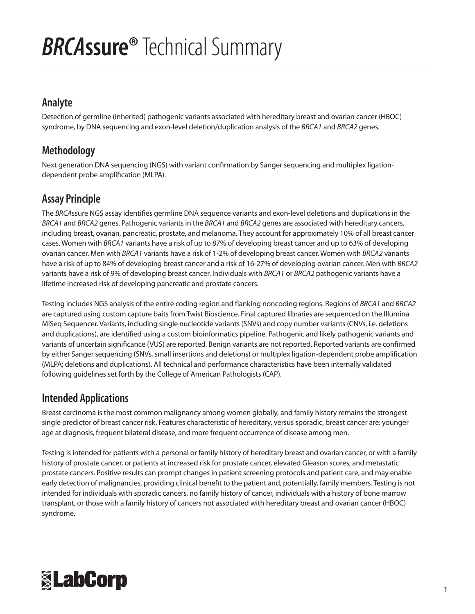# *BRCA***ssure®** Technical Summary

#### **Analyte**

Detection of germline (inherited) pathogenic variants associated with hereditary breast and ovarian cancer (HBOC) syndrome, by DNA sequencing and exon-level deletion/duplication analysis of the *BRCA1* and *BRCA2* genes.

### **Methodology**

Next generation DNA sequencing (NGS) with variant confirmation by Sanger sequencing and multiplex ligationdependent probe amplification (MLPA).

### **Assay Principle**

The *BRCA*ssure NGS assay identifies germline DNA sequence variants and exon-level deletions and duplications in the *BRCA1* and *BRCA2* genes. Pathogenic variants in the *BRCA1* and *BRCA2* genes are associated with hereditary cancers, including breast, ovarian, pancreatic, prostate, and melanoma. They account for approximately 10% of all breast cancer cases. Women with *BRCA1* variants have a risk of up to 87% of developing breast cancer and up to 63% of developing ovarian cancer. Men with *BRCA1* variants have a risk of 1-2% of developing breast cancer. Women with *BRCA2* variants have a risk of up to 84% of developing breast cancer and a risk of 16-27% of developing ovarian cancer. Men with *BRCA2* variants have a risk of 9% of developing breast cancer. Individuals with *BRCA1* or *BRCA2* pathogenic variants have a lifetime increased risk of developing pancreatic and prostate cancers.

Testing includes NGS analysis of the entire coding region and flanking noncoding regions. Regions of *BRCA1* and *BRCA2* are captured using custom capture baits from Twist Bioscience. Final captured libraries are sequenced on the Illumina MiSeq Sequencer. Variants, including single nucleotide variants (SNVs) and copy number variants (CNVs, i.e. deletions and duplications), are identified using a custom bioinformatics pipeline. Pathogenic and likely pathogenic variants and variants of uncertain significance (VUS) are reported. Benign variants are not reported. Reported variants are confirmed by either Sanger sequencing (SNVs, small insertions and deletions) or multiplex ligation-dependent probe amplification (MLPA; deletions and duplications). All technical and performance characteristics have been internally validated following guidelines set forth by the College of American Pathologists (CAP).

#### **Intended Applications**

Breast carcinoma is the most common malignancy among women globally, and family history remains the strongest single predictor of breast cancer risk. Features characteristic of hereditary, versus sporadic, breast cancer are: younger age at diagnosis, frequent bilateral disease, and more frequent occurrence of disease among men.

Testing is intended for patients with a personal or family history of hereditary breast and ovarian cancer, or with a family history of prostate cancer, or patients at increased risk for prostate cancer, elevated Gleason scores, and metastatic prostate cancers. Positive results can prompt changes in patient screening protocols and patient care, and may enable early detection of malignancies, providing clinical benefit to the patient and, potentially, family members. Testing is not intended for individuals with sporadic cancers, no family history of cancer, individuals with a history of bone marrow transplant, or those with a family history of cancers not associated with hereditary breast and ovarian cancer (HBOC) syndrome.

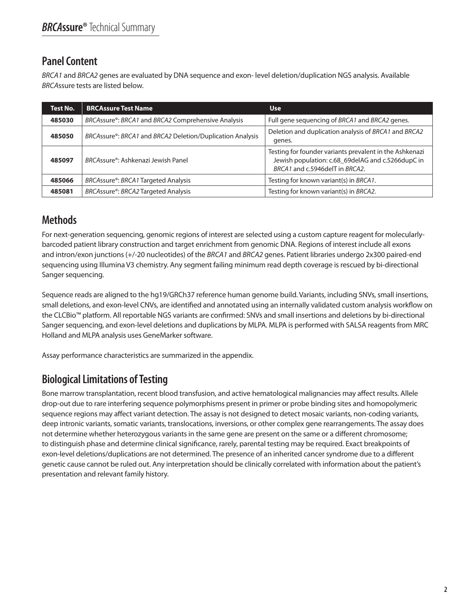## **Panel Content**

*BRCA1* and *BRCA2* genes are evaluated by DNA sequence and exon- level deletion/duplication NGS analysis. Available *BRCA*ssure tests are listed below.

| <b>Test No.</b> | <b>BRCAssure Test Name</b>                                             | <b>Use</b>                                                                                                                                     |
|-----------------|------------------------------------------------------------------------|------------------------------------------------------------------------------------------------------------------------------------------------|
| 485030          | BRCAssure®: BRCA1 and BRCA2 Comprehensive Analysis                     | Full gene sequencing of BRCA1 and BRCA2 genes.                                                                                                 |
| 485050          | BRCAssure <sup>®</sup> : BRCA1 and BRCA2 Deletion/Duplication Analysis | Deletion and duplication analysis of BRCA1 and BRCA2<br>genes.                                                                                 |
| 485097          | BRCAssure <sup>®</sup> : Ashkenazi Jewish Panel                        | Testing for founder variants prevalent in the Ashkenazi<br>Jewish population: c.68_69delAG and c.5266dupC in<br>BRCA1 and c.5946delT in BRCA2. |
| 485066          | BRCAssure <sup>®</sup> : BRCA1 Targeted Analysis                       | Testing for known variant(s) in BRCA1.                                                                                                         |
| 485081          | BRCAssure®: BRCA2 Targeted Analysis                                    | Testing for known variant(s) in BRCA2.                                                                                                         |

## **Methods**

For next-generation sequencing, genomic regions of interest are selected using a custom capture reagent for molecularlybarcoded patient library construction and target enrichment from genomic DNA. Regions of interest include all exons and intron/exon junctions (+/-20 nucleotides) of the *BRCA1* and *BRCA2* genes. Patient libraries undergo 2x300 paired-end sequencing using Illumina V3 chemistry. Any segment failing minimum read depth coverage is rescued by bi-directional Sanger sequencing.

Sequence reads are aligned to the hg19/GRCh37 reference human genome build. Variants, including SNVs, small insertions, small deletions, and exon-level CNVs, are identified and annotated using an internally validated custom analysis workflow on the CLCBio™ platform. All reportable NGS variants are confirmed: SNVs and small insertions and deletions by bi-directional Sanger sequencing, and exon-level deletions and duplications by MLPA. MLPA is performed with SALSA reagents from MRC Holland and MLPA analysis uses GeneMarker software.

Assay performance characteristics are summarized in the appendix.

## **Biological Limitations of Testing**

Bone marrow transplantation, recent blood transfusion, and active hematological malignancies may affect results. Allele drop-out due to rare interfering sequence polymorphisms present in primer or probe binding sites and homopolymeric sequence regions may affect variant detection. The assay is not designed to detect mosaic variants, non-coding variants, deep intronic variants, somatic variants, translocations, inversions, or other complex gene rearrangements. The assay does not determine whether heterozygous variants in the same gene are present on the same or a different chromosome; to distinguish phase and determine clinical significance, rarely, parental testing may be required. Exact breakpoints of exon-level deletions/duplications are not determined. The presence of an inherited cancer syndrome due to a different genetic cause cannot be ruled out. Any interpretation should be clinically correlated with information about the patient's presentation and relevant family history.